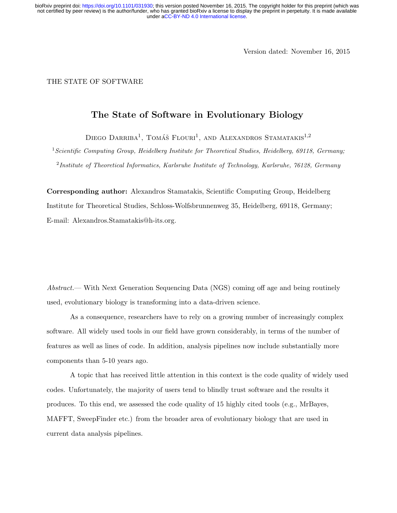Version dated: November 16, 2015

THE STATE OF SOFTWARE

## The State of Software in Evolutionary Biology

DIEGO DARRIBA<sup>1</sup>, TOMÁŠ FLOURI<sup>1</sup>, AND ALEXANDROS STAMATAKIS<sup>1,2</sup>

 $1$ Scientific Computing Group, Heidelberg Institute for Theoretical Studies, Heidelberg, 69118, Germany; <sup>2</sup>Institute of Theoretical Informatics, Karlsruhe Institute of Technology, Karlsruhe, 76128, Germany

Corresponding author: Alexandros Stamatakis, Scientific Computing Group, Heidelberg Institute for Theoretical Studies, Schloss-Wolfsbrunnenweg 35, Heidelberg, 69118, Germany; E-mail: Alexandros.Stamatakis@h-its.org.

Abstract.— With Next Generation Sequencing Data (NGS) coming off age and being routinely used, evolutionary biology is transforming into a data-driven science.

As a consequence, researchers have to rely on a growing number of increasingly complex software. All widely used tools in our field have grown considerably, in terms of the number of features as well as lines of code. In addition, analysis pipelines now include substantially more components than 5-10 years ago.

A topic that has received little attention in this context is the code quality of widely used codes. Unfortunately, the majority of users tend to blindly trust software and the results it produces. To this end, we assessed the code quality of 15 highly cited tools (e.g., MrBayes, MAFFT, SweepFinder etc.) from the broader area of evolutionary biology that are used in current data analysis pipelines.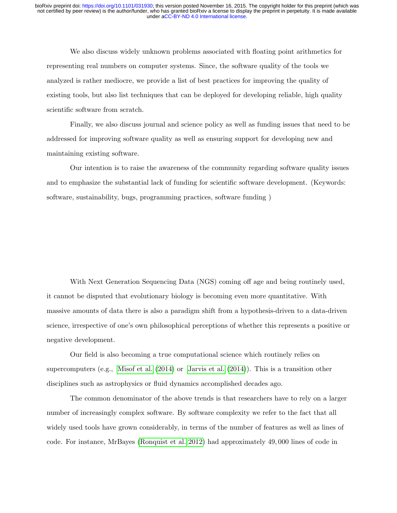We also discuss widely unknown problems associated with floating point arithmetics for representing real numbers on computer systems. Since, the software quality of the tools we analyzed is rather mediocre, we provide a list of best practices for improving the quality of existing tools, but also list techniques that can be deployed for developing reliable, high quality scientific software from scratch.

Finally, we also discuss journal and science policy as well as funding issues that need to be addressed for improving software quality as well as ensuring support for developing new and maintaining existing software.

Our intention is to raise the awareness of the community regarding software quality issues and to emphasize the substantial lack of funding for scientific software development. (Keywords: software, sustainability, bugs, programming practices, software funding )

With Next Generation Sequencing Data (NGS) coming off age and being routinely used, it cannot be disputed that evolutionary biology is becoming even more quantitative. With massive amounts of data there is also a paradigm shift from a hypothesis-driven to a data-driven science, irrespective of one's own philosophical perceptions of whether this represents a positive or negative development.

Our field is also becoming a true computational science which routinely relies on supercomputers (e.g., [Misof et al.](#page-19-0) [\(2014\)](#page-19-0) or [Jarvis et al.](#page-19-1) [\(2014\)](#page-19-1)). This is a transition other disciplines such as astrophysics or fluid dynamics accomplished decades ago.

The common denominator of the above trends is that researchers have to rely on a larger number of increasingly complex software. By software complexity we refer to the fact that all widely used tools have grown considerably, in terms of the number of features as well as lines of code. For instance, MrBayes [\(Ronquist et al. 2012\)](#page-20-0) had approximately 49, 000 lines of code in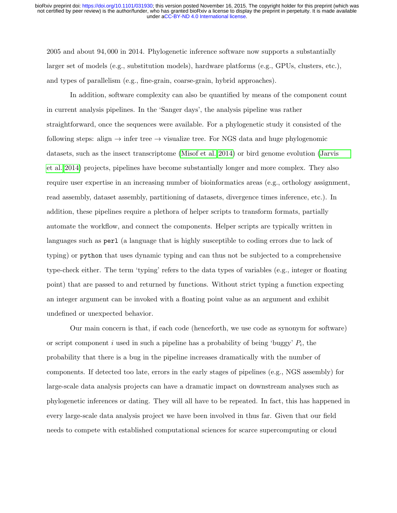2005 and about 94, 000 in 2014. Phylogenetic inference software now supports a substantially larger set of models (e.g., substitution models), hardware platforms (e.g., GPUs, clusters, etc.), and types of parallelism (e.g., fine-grain, coarse-grain, hybrid approaches).

In addition, software complexity can also be quantified by means of the component count in current analysis pipelines. In the 'Sanger days', the analysis pipeline was rather straightforward, once the sequences were available. For a phylogenetic study it consisted of the following steps: align  $\rightarrow$  infer tree  $\rightarrow$  visualize tree. For NGS data and huge phylogenomic datasets, such as the insect transcriptome [\(Misof et al. 2014\)](#page-19-0) or bird genome evolution [\(Jarvis](#page-19-1) [et al. 2014\)](#page-19-1) projects, pipelines have become substantially longer and more complex. They also require user expertise in an increasing number of bioinformatics areas (e.g., orthology assignment, read assembly, dataset assembly, partitioning of datasets, divergence times inference, etc.). In addition, these pipelines require a plethora of helper scripts to transform formats, partially automate the workflow, and connect the components. Helper scripts are typically written in languages such as perl (a language that is highly susceptible to coding errors due to lack of typing) or python that uses dynamic typing and can thus not be subjected to a comprehensive type-check either. The term 'typing' refers to the data types of variables (e.g., integer or floating point) that are passed to and returned by functions. Without strict typing a function expecting an integer argument can be invoked with a floating point value as an argument and exhibit undefined or unexpected behavior.

Our main concern is that, if each code (henceforth, we use code as synonym for software) or script component i used in such a pipeline has a probability of being 'buggy'  $P_i$ , the probability that there is a bug in the pipeline increases dramatically with the number of components. If detected too late, errors in the early stages of pipelines (e.g., NGS assembly) for large-scale data analysis projects can have a dramatic impact on downstream analyses such as phylogenetic inferences or dating. They will all have to be repeated. In fact, this has happened in every large-scale data analysis project we have been involved in thus far. Given that our field needs to compete with established computational sciences for scarce supercomputing or cloud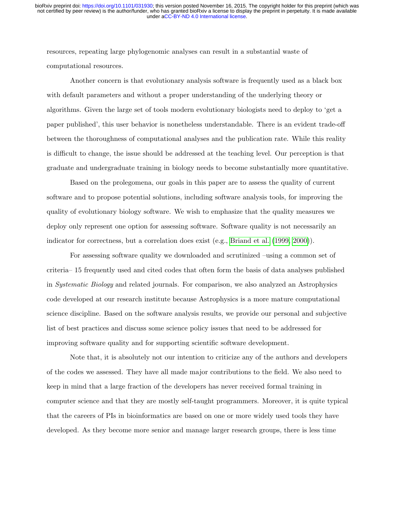resources, repeating large phylogenomic analyses can result in a substantial waste of computational resources.

Another concern is that evolutionary analysis software is frequently used as a black box with default parameters and without a proper understanding of the underlying theory or algorithms. Given the large set of tools modern evolutionary biologists need to deploy to 'get a paper published', this user behavior is nonetheless understandable. There is an evident trade-off between the thoroughness of computational analyses and the publication rate. While this reality is difficult to change, the issue should be addressed at the teaching level. Our perception is that graduate and undergraduate training in biology needs to become substantially more quantitative.

Based on the prolegomena, our goals in this paper are to assess the quality of current software and to propose potential solutions, including software analysis tools, for improving the quality of evolutionary biology software. We wish to emphasize that the quality measures we deploy only represent one option for assessing software. Software quality is not necessarily an indicator for correctness, but a correlation does exist (e.g., [Briand et al.](#page-18-0) [\(1999,](#page-18-0) [2000\)](#page-18-1)).

For assessing software quality we downloaded and scrutinized –using a common set of criteria– 15 frequently used and cited codes that often form the basis of data analyses published in Systematic Biology and related journals. For comparison, we also analyzed an Astrophysics code developed at our research institute because Astrophysics is a more mature computational science discipline. Based on the software analysis results, we provide our personal and subjective list of best practices and discuss some science policy issues that need to be addressed for improving software quality and for supporting scientific software development.

Note that, it is absolutely not our intention to criticize any of the authors and developers of the codes we assessed. They have all made major contributions to the field. We also need to keep in mind that a large fraction of the developers has never received formal training in computer science and that they are mostly self-taught programmers. Moreover, it is quite typical that the careers of PIs in bioinformatics are based on one or more widely used tools they have developed. As they become more senior and manage larger research groups, there is less time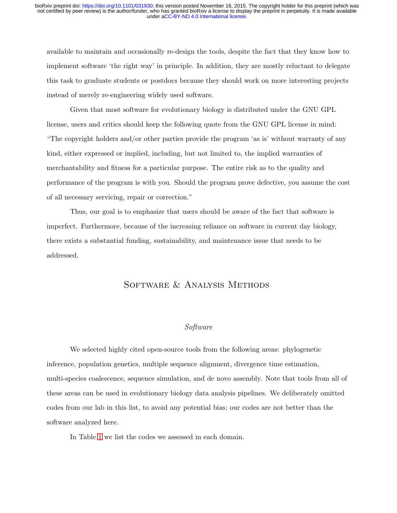available to maintain and occasionally re-design the tools, despite the fact that they know how to implement software 'the right way' in principle. In addition, they are mostly reluctant to delegate this task to graduate students or postdocs because they should work on more interesting projects instead of merely re-engineering widely used software.

Given that most software for evolutionary biology is distributed under the GNU GPL license, users and critics should keep the following quote from the GNU GPL license in mind: "The copyright holders and/or other parties provide the program 'as is' without warranty of any kind, either expressed or implied, including, but not limited to, the implied warranties of merchantability and fitness for a particular purpose. The entire risk as to the quality and performance of the program is with you. Should the program prove defective, you assume the cost of all necessary servicing, repair or correction."

Thus, our goal is to emphasize that users should be aware of the fact that software is imperfect. Furthermore, because of the increasing reliance on software in current day biology, there exists a substantial funding, sustainability, and maintenance issue that needs to be addressed.

# Software & Analysis Methods

### Software

We selected highly cited open-source tools from the following areas: phylogenetic inference, population genetics, multiple sequence alignment, divergence time estimation, multi-species coalescence, sequence simulation, and de novo assembly. Note that tools from all of these areas can be used in evolutionary biology data analysis pipelines. We deliberately omitted codes from our lab in this list, to avoid any potential bias; our codes are not better than the software analyzed here.

In Table [1](#page-5-0) we list the codes we assessed in each domain.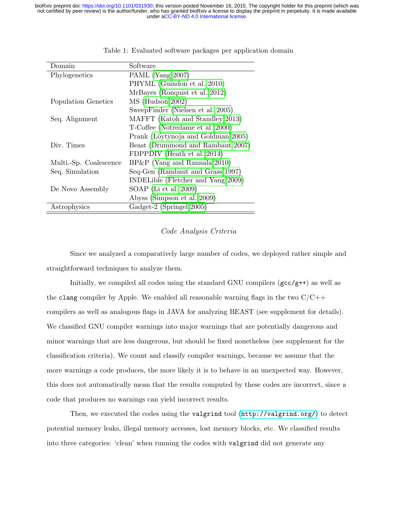<span id="page-5-0"></span>

| Domain                 | Software                           |
|------------------------|------------------------------------|
| Phylogenetics          | PAML (Yang 2007)                   |
|                        | PHYML (Guindon et al. 2010)        |
|                        | MrBayes (Ronquist et al. 2012)     |
| Population Genetics    | MS (Hudson 2002)                   |
|                        | SweepFinder (Nielsen et al. 2005)  |
| Seq. Alignment         | MAFFT (Katoh and Standley 2013)    |
|                        | T-Coffee (Notredame et al. 2000)   |
|                        | Prank (Löytynoja and Goldman 2005) |
| Div. Times             | Beast (Drummond and Rambaut 2007)  |
|                        | FDPPDIV (Heath et al. 2014)        |
| Multi.-Sp. Coalescence | $BP\&P$ (Yang and Rannala 2010)    |
| Seq. Simulation        | Seq-Gen (Rambaut and Grass 1997)   |
|                        | INDELible (Fletcher and Yang 2009) |
| De Novo Assembly       | SOAP (Li et al. 2009)              |
|                        | Abyss (Simpson et al. 2009)        |
| Astrophysics           | Gadget-2 (Springel 2005)           |

Table 1: Evaluated software packages per application domain

#### Code Analysis Criteria

Since we analyzed a comparatively large number of codes, we deployed rather simple and straightforward techniques to analyze them.

Initially, we compiled all codes using the standard GNU compilers  $(gcc/g^{++})$  as well as the clang compiler by Apple. We enabled all reasonable warning flags in the two  $C/C++$ compilers as well as analogous flags in JAVA for analyzing BEAST (see supplement for details). We classified GNU compiler warnings into major warnings that are potentially dangerous and minor warnings that are less dangerous, but should be fixed nonetheless (see supplement for the classification criteria). We count and classify compiler warnings, because we assume that the more warnings a code produces, the more likely it is to behave in an unexpected way. However, this does not automatically mean that the results computed by these codes are incorrect, since a code that produces no warnings can yield incorrect results.

Then, we executed the codes using the valgrind tool ([http://valgrind.org/]( http://valgrind.org/)) to detect potential memory leaks, illegal memory accesses, lost memory blocks, etc. We classified results into three categories: 'clean' when running the codes with valgrind did not generate any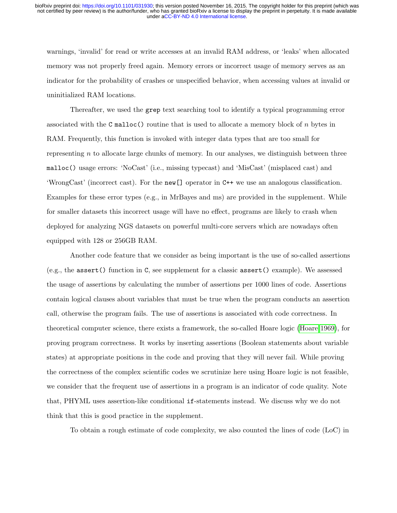warnings, 'invalid' for read or write accesses at an invalid RAM address, or 'leaks' when allocated memory was not properly freed again. Memory errors or incorrect usage of memory serves as an indicator for the probability of crashes or unspecified behavior, when accessing values at invalid or uninitialized RAM locations.

Thereafter, we used the grep text searching tool to identify a typical programming error associated with the C malloc() routine that is used to allocate a memory block of  $n$  bytes in RAM. Frequently, this function is invoked with integer data types that are too small for representing  $n$  to allocate large chunks of memory. In our analyses, we distinguish between three malloc() usage errors: 'NoCast' (i.e., missing typecast) and 'MisCast' (misplaced cast) and 'WrongCast' (incorrect cast). For the new[] operator in C++ we use an analogous classification. Examples for these error types (e.g., in MrBayes and ms) are provided in the supplement. While for smaller datasets this incorrect usage will have no effect, programs are likely to crash when deployed for analyzing NGS datasets on powerful multi-core servers which are nowadays often equipped with 128 or 256GB RAM.

Another code feature that we consider as being important is the use of so-called assertions (e.g., the assert() function in C, see supplement for a classic assert() example). We assessed the usage of assertions by calculating the number of assertions per 1000 lines of code. Assertions contain logical clauses about variables that must be true when the program conducts an assertion call, otherwise the program fails. The use of assertions is associated with code correctness. In theoretical computer science, there exists a framework, the so-called Hoare logic [\(Hoare 1969\)](#page-19-6), for proving program correctness. It works by inserting assertions (Boolean statements about variable states) at appropriate positions in the code and proving that they will never fail. While proving the correctness of the complex scientific codes we scrutinize here using Hoare logic is not feasible, we consider that the frequent use of assertions in a program is an indicator of code quality. Note that, PHYML uses assertion-like conditional if-statements instead. We discuss why we do not think that this is good practice in the supplement.

To obtain a rough estimate of code complexity, we also counted the lines of code (LoC) in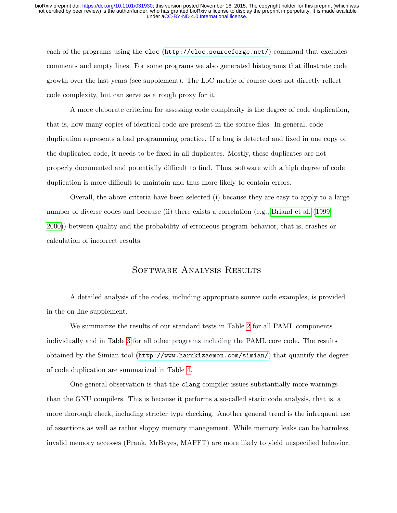each of the programs using the cloc (<http://cloc.sourceforge.net/>) command that excludes comments and empty lines. For some programs we also generated histograms that illustrate code growth over the last years (see supplement). The LoC metric of course does not directly reflect code complexity, but can serve as a rough proxy for it.

A more elaborate criterion for assessing code complexity is the degree of code duplication, that is, how many copies of identical code are present in the source files. In general, code duplication represents a bad programming practice. If a bug is detected and fixed in one copy of the duplicated code, it needs to be fixed in all duplicates. Mostly, these duplicates are not properly documented and potentially difficult to find. Thus, software with a high degree of code duplication is more difficult to maintain and thus more likely to contain errors.

Overall, the above criteria have been selected (i) because they are easy to apply to a large number of diverse codes and because (ii) there exists a correlation (e.g., [Briand et al.](#page-18-0) [\(1999,](#page-18-0) [2000\)](#page-18-1)) between quality and the probability of erroneous program behavior, that is, crashes or calculation of incorrect results.

## Software Analysis Results

A detailed analysis of the codes, including appropriate source code examples, is provided in the on-line supplement.

We summarize the results of our standard tests in Table [2](#page-8-0) for all PAML components individually and in Table [3](#page-8-1) for all other programs including the PAML core code. The results obtained by the Simian tool (<http://www.harukizaemon.com/simian/>) that quantify the degree of code duplication are summarized in Table [4.](#page-9-0)

One general observation is that the clang compiler issues substantially more warnings than the GNU compilers. This is because it performs a so-called static code analysis, that is, a more thorough check, including stricter type checking. Another general trend is the infrequent use of assertions as well as rather sloppy memory management. While memory leaks can be harmless, invalid memory accesses (Prank, MrBayes, MAFFT) are more likely to yield unspecified behavior.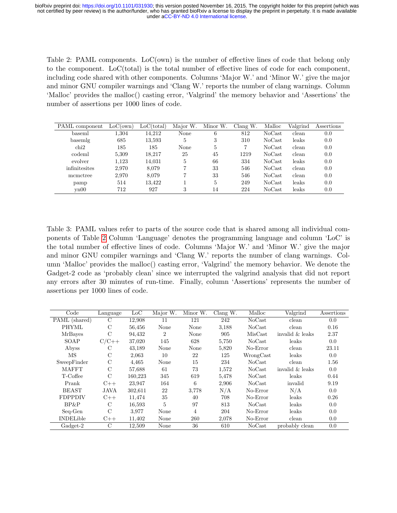<span id="page-8-0"></span>Table 2: PAML components. LoC(own) is the number of effective lines of code that belong only to the component. LoC(total) is the total number of effective lines of code for each component, including code shared with other components. Columns 'Major W.' and 'Minor W.' give the major and minor GNU compiler warnings and 'Clang W.' reports the number of clang warnings. Column 'Malloc' provides the malloc() casting error, 'Valgrind' the memory behavior and 'Assertions' the number of assertions per 1000 lines of code.

| PAML component | LoC(own) | LoC(total) | Major W.    | Minor W. | Clang W. | Malloc | Valgrind | Assertions |
|----------------|----------|------------|-------------|----------|----------|--------|----------|------------|
| baseml         | 1.304    | 14.212     | None        | 6        | 812      | NoCast | clean    | 0.0        |
| basemlg        | 685      | 13,593     | 5.          | 3        | 310      | NoCast | leaks    | 0.0        |
| chi2           | 185      | 185        | <b>None</b> | 5        |          | NoCast | clean    | 0.0        |
| codeml         | 5,309    | 18.217     | 25          | 45       | 1219     | NoCast | clean    | 0.0        |
| evolver        | 1.123    | 14,031     | 5           | 66       | 334      | NoCast | leaks    | 0.0        |
| infinitesites  | 2.970    | 8.079      |             | 33       | 546      | NoCast | clean    | 0.0        |
| momotree       | 2.970    | 8.079      |             | 33       | 546      | NoCast | clean    | 0.0        |
| pamp           | 514      | 13.422     |             | 5        | 249      | NoCast | leaks    | 0.0        |
| $\text{vn}00$  | 712      | 927        | 3           | 14       | 224      | NoCast | leaks    | 0.0        |

<span id="page-8-1"></span>Table 3: PAML values refer to parts of the source code that is shared among all individual components of Table [2](#page-8-0) Column 'Language' denotes the programming language and column 'LoC' is the total number of effective lines of code. Columns 'Major W.' and 'Minor W.' give the major and minor GNU compiler warnings and 'Clang W.' reports the number of clang warnings. Column 'Malloc' provides the malloc() casting error, 'Valgrind' the memory behavior. We denote the Gadget-2 code as 'probably clean' since we interrupted the valgrind analysis that did not report any errors after 30 minutes of run-time. Finally, column 'Assertions' represents the number of assertions per 1000 lines of code.

| Code             | Language      | Loc     | Major W.       | Minor W.       | Clang $W$ . | Malloc        | Valgrind           | Assertions |
|------------------|---------------|---------|----------------|----------------|-------------|---------------|--------------------|------------|
| PAML (shared)    | С             | 12,908  | 11             | 121            | 242         | <b>NoCast</b> | clean              | 0.0        |
| <b>PHYML</b>     | C             | 56,456  | None           | None           | 3,188       | NoCast        | clean              | 0.16       |
| <b>MrBayes</b>   | $\mathcal{C}$ | 94,432  | $\overline{2}$ | None           | 905         | MisCast       | invalid $\&$ leaks | 2.37       |
| SOAP             | $C/C++$       | 37.020  | 145            | 628            | 5,750       | NoCast        | leaks              | 0.0        |
| Abyss            | С             | 43.189  | None           | None           | 5,820       | No-Error      | clean              | 23.11      |
| MS               | C             | 2,063   | 10             | 22             | 125         | WrongCast     | leaks              | 0.0        |
| SweepFinder      | C             | 4,465   | None           | 15             | 234         | NoCast        | clean              | 1.56       |
| <b>MAFFT</b>     | $\mathcal{C}$ | 57,688  | 61             | 73             | 1,572       | NoCast        | invalid & leaks    | 0.0        |
| T-Coffee         | $\mathcal{C}$ | 160,223 | 345            | 619            | 5,478       | NoCast        | leaks              | 0.44       |
| Prank            | $C++$         | 23.947  | 164            | 6              | 2.906       | NoCast        | invalid            | 9.19       |
| <b>BEAST</b>     | JAVA          | 302,611 | 22             | 3,778          | N/A         | No-Error      | N/A                | 0.0        |
| <b>FDPPDIV</b>   | $C++$         | 11,474  | 35             | 40             | 708         | No-Error      | leaks              | 0.26       |
| BP&P             | C             | 16,593  | 5              | 97             | 813         | NoCast        | leaks              | 0.0        |
| Seq-Gen          | $\mathcal{C}$ | 3.977   | None           | $\overline{4}$ | 204         | No-Error      | leaks              | 0.0        |
| <b>INDELible</b> | $C++$         | 11,402  | None           | 260            | 2,078       | No-Error      | clean              | 0.0        |
| Gadget-2         | $\rm C$       | 12,509  | None           | 36             | 610         | NoCast        | probably clean     | 0.0        |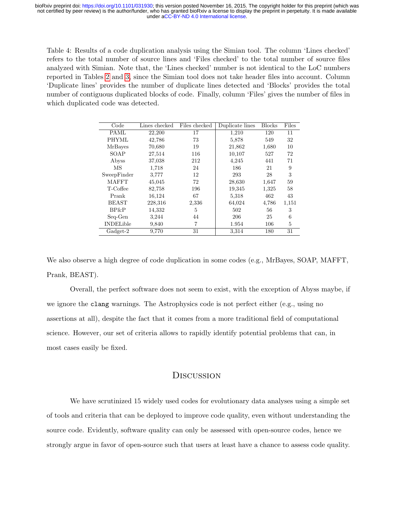<span id="page-9-0"></span>Table 4: Results of a code duplication analysis using the Simian tool. The column 'Lines checked' refers to the total number of source lines and 'Files checked' to the total number of source files analyzed with Simian. Note that, the 'Lines checked' number is not identical to the LoC numbers reported in Tables [2](#page-8-0) and [3,](#page-8-1) since the Simian tool does not take header files into account. Column 'Duplicate lines' provides the number of duplicate lines detected and 'Blocks' provides the total number of contiguous duplicated blocks of code. Finally, column 'Files' gives the number of files in which duplicated code was detected.

| Code             | Lines checked | Files checked | Duplicate lines | <b>Blocks</b> | Files |
|------------------|---------------|---------------|-----------------|---------------|-------|
| PAML             | 22,200        | 17            | 1,210           | 120           | 11    |
| <b>PHYML</b>     | 42,786        | 73            | 5,878           | 549           | 32    |
| <b>MrBayes</b>   | 70,680        | 19            | 21,862          | 1,680         | 10    |
| SOAP             | 27,514        | 116           | 10,107          | 527           | 72    |
| Abyss            | 37,038        | 212           | 4,245           | 441           | 71    |
| MS               | 1,718         | 24            | 186             | 21            | 9     |
| SweepFinder      | 3.777         | 12            | 293             | 28            | 3     |
| <b>MAFFT</b>     | 45,045        | 72            | 28,630          | 1,647         | 59    |
| T-Coffee         | 82,758        | 196           | 19,345          | 1,325         | 58    |
| Prank            | 16,124        | 67            | 5,318           | 462           | 43    |
| <b>BEAST</b>     | 228,316       | 2,336         | 64,024          | 4,786         | 1,151 |
| BP&P             | 14,332        | 5             | 502             | 56            | 3     |
| Seq-Gen          | 3,244         | 44            | 206             | 25            | 6     |
| <b>INDELible</b> | 9,840         | 7             | 1.954           | 106           | 5     |
| Gadget-2         | 9,770         | 31            | 3.314           | 180           | 31    |

We also observe a high degree of code duplication in some codes (e.g., MrBayes, SOAP, MAFFT, Prank, BEAST).

Overall, the perfect software does not seem to exist, with the exception of Abyss maybe, if we ignore the clang warnings. The Astrophysics code is not perfect either (e.g., using no assertions at all), despite the fact that it comes from a more traditional field of computational science. However, our set of criteria allows to rapidly identify potential problems that can, in most cases easily be fixed.

## **DISCUSSION**

We have scrutinized 15 widely used codes for evolutionary data analyses using a simple set of tools and criteria that can be deployed to improve code quality, even without understanding the source code. Evidently, software quality can only be assessed with open-source codes, hence we strongly argue in favor of open-source such that users at least have a chance to assess code quality.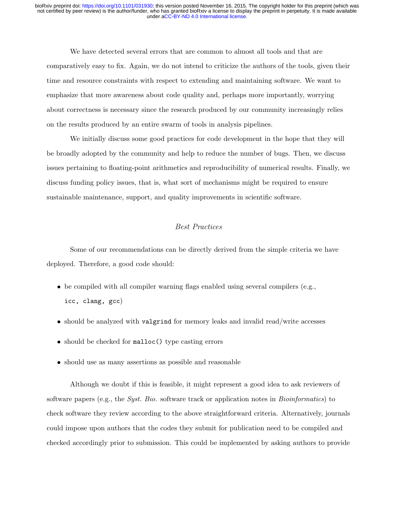We have detected several errors that are common to almost all tools and that are comparatively easy to fix. Again, we do not intend to criticize the authors of the tools, given their time and resource constraints with respect to extending and maintaining software. We want to emphasize that more awareness about code quality and, perhaps more importantly, worrying about correctness is necessary since the research produced by our community increasingly relies on the results produced by an entire swarm of tools in analysis pipelines.

We initially discuss some good practices for code development in the hope that they will be broadly adopted by the community and help to reduce the number of bugs. Then, we discuss issues pertaining to floating-point arithmetics and reproducibility of numerical results. Finally, we discuss funding policy issues, that is, what sort of mechanisms might be required to ensure sustainable maintenance, support, and quality improvements in scientific software.

### Best Practices

Some of our recommendations can be directly derived from the simple criteria we have deployed. Therefore, a good code should:

- be compiled with all compiler warning flags enabled using several compilers (e.g., icc, clang, gcc)
- should be analyzed with valgrind for memory leaks and invalid read/write accesses
- should be checked for malloc() type casting errors
- should use as many assertions as possible and reasonable

Although we doubt if this is feasible, it might represent a good idea to ask reviewers of software papers (e.g., the *Syst. Bio.* software track or application notes in *Bioinformatics*) to check software they review according to the above straightforward criteria. Alternatively, journals could impose upon authors that the codes they submit for publication need to be compiled and checked accordingly prior to submission. This could be implemented by asking authors to provide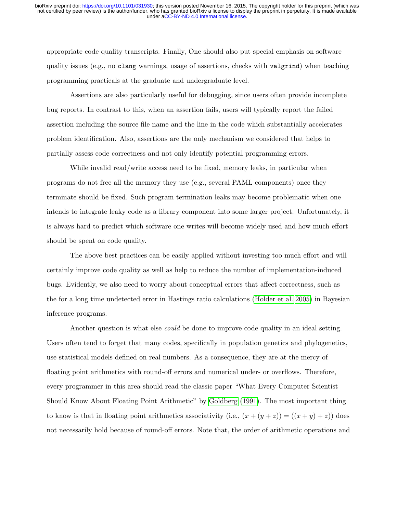appropriate code quality transcripts. Finally, One should also put special emphasis on software quality issues (e.g., no clang warnings, usage of assertions, checks with valgrind) when teaching programming practicals at the graduate and undergraduate level.

Assertions are also particularly useful for debugging, since users often provide incomplete bug reports. In contrast to this, when an assertion fails, users will typically report the failed assertion including the source file name and the line in the code which substantially accelerates problem identification. Also, assertions are the only mechanism we considered that helps to partially assess code correctness and not only identify potential programming errors.

While invalid read/write access need to be fixed, memory leaks, in particular when programs do not free all the memory they use (e.g., several PAML components) once they terminate should be fixed. Such program termination leaks may become problematic when one intends to integrate leaky code as a library component into some larger project. Unfortunately, it is always hard to predict which software one writes will become widely used and how much effort should be spent on code quality.

The above best practices can be easily applied without investing too much effort and will certainly improve code quality as well as help to reduce the number of implementation-induced bugs. Evidently, we also need to worry about conceptual errors that affect correctness, such as the for a long time undetected error in Hastings ratio calculations [\(Holder et al. 2005\)](#page-19-7) in Bayesian inference programs.

Another question is what else *could* be done to improve code quality in an ideal setting. Users often tend to forget that many codes, specifically in population genetics and phylogenetics, use statistical models defined on real numbers. As a consequence, they are at the mercy of floating point arithmetics with round-off errors and numerical under- or overflows. Therefore, every programmer in this area should read the classic paper "What Every Computer Scientist Should Know About Floating Point Arithmetic" by [Goldberg](#page-18-6) [\(1991\)](#page-18-6). The most important thing to know is that in floating point arithmetics associativity (i.e.,  $(x + (y + z)) = ((x + y) + z)$ ) does not necessarily hold because of round-off errors. Note that, the order of arithmetic operations and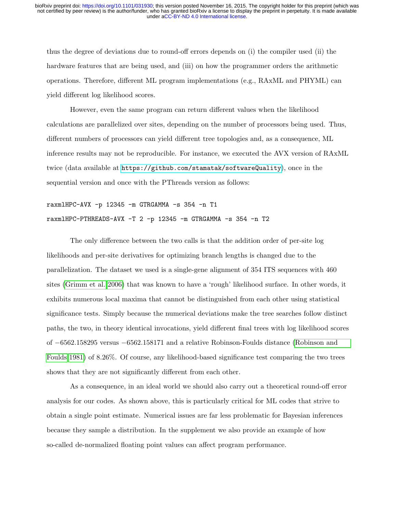thus the degree of deviations due to round-off errors depends on (i) the compiler used (ii) the hardware features that are being used, and (iii) on how the programmer orders the arithmetic operations. Therefore, different ML program implementations (e.g., RAxML and PHYML) can yield different log likelihood scores.

However, even the same program can return different values when the likelihood calculations are parallelized over sites, depending on the number of processors being used. Thus, different numbers of processors can yield different tree topologies and, as a consequence, ML inference results may not be reproducible. For instance, we executed the AVX version of RAxML twice (data available at <https://github.com/stamatak/softwareQuality>), once in the sequential version and once with the PThreads version as follows:

raxmlHPC-AVX -p 12345 -m GTRGAMMA -s 354 -n T1 raxmlHPC-PTHREADS-AVX -T 2 -p 12345 -m GTRGAMMA -s 354 -n T2

The only difference between the two calls is that the addition order of per-site log likelihoods and per-site derivatives for optimizing branch lengths is changed due to the parallelization. The dataset we used is a single-gene alignment of 354 ITS sequences with 460 sites [\(Grimm et al. 2006\)](#page-18-7) that was known to have a 'rough' likelihood surface. In other words, it exhibits numerous local maxima that cannot be distinguished from each other using statistical significance tests. Simply because the numerical deviations make the tree searches follow distinct paths, the two, in theory identical invocations, yield different final trees with log likelihood scores of −6562.158295 versus −6562.158171 and a relative Robinson-Foulds distance [\(Robinson and](#page-20-8) [Foulds 1981\)](#page-20-8) of 8.26%. Of course, any likelihood-based significance test comparing the two trees shows that they are not significantly different from each other.

As a consequence, in an ideal world we should also carry out a theoretical round-off error analysis for our codes. As shown above, this is particularly critical for ML codes that strive to obtain a single point estimate. Numerical issues are far less problematic for Bayesian inferences because they sample a distribution. In the supplement we also provide an example of how so-called de-normalized floating point values can affect program performance.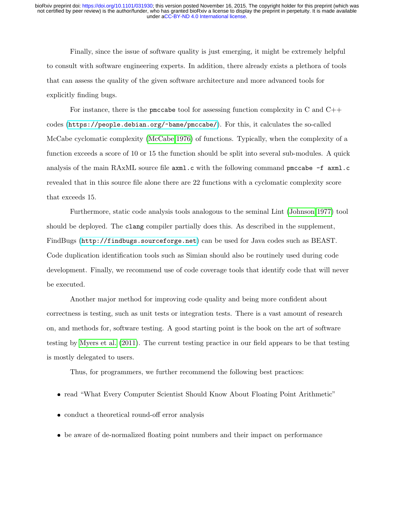Finally, since the issue of software quality is just emerging, it might be extremely helpful to consult with software engineering experts. In addition, there already exists a plethora of tools that can assess the quality of the given software architecture and more advanced tools for explicitly finding bugs.

For instance, there is the pmccabe tool for assessing function complexity in C and C++ codes (<https://people.debian.org/~bame/pmccabe/>). For this, it calculates the so-called McCabe cyclomatic complexity [\(McCabe 1976\)](#page-19-8) of functions. Typically, when the complexity of a function exceeds a score of 10 or 15 the function should be split into several sub-modules. A quick analysis of the main RAxML source file  $axm1.c$  with the following command pmccabe  $-f$   $axm1.c$ revealed that in this source file alone there are 22 functions with a cyclomatic complexity score that exceeds 15.

Furthermore, static code analysis tools analogous to the seminal Lint [\(Johnson 1977\)](#page-19-9) tool should be deployed. The clang compiler partially does this. As described in the supplement, FindBugs (<http://findbugs.sourceforge.net>) can be used for Java codes such as BEAST. Code duplication identification tools such as Simian should also be routinely used during code development. Finally, we recommend use of code coverage tools that identify code that will never be executed.

Another major method for improving code quality and being more confident about correctness is testing, such as unit tests or integration tests. There is a vast amount of research on, and methods for, software testing. A good starting point is the book on the art of software testing by [Myers et al.](#page-19-10) [\(2011\)](#page-19-10). The current testing practice in our field appears to be that testing is mostly delegated to users.

Thus, for programmers, we further recommend the following best practices:

- read "What Every Computer Scientist Should Know About Floating Point Arithmetic"
- conduct a theoretical round-off error analysis
- be aware of de-normalized floating point numbers and their impact on performance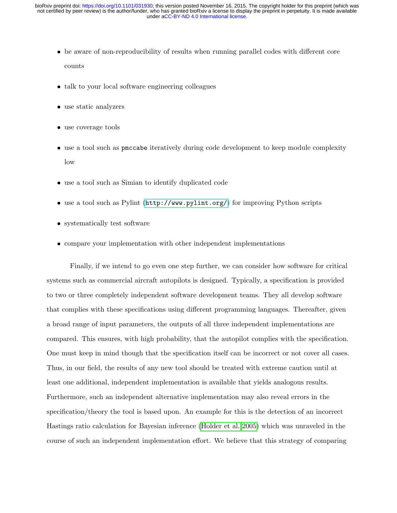- be aware of non-reproducibility of results when running parallel codes with different core counts
- talk to your local software engineering colleagues
- use static analyzers
- use coverage tools
- use a tool such as pmccabe iteratively during code development to keep module complexity low
- use a tool such as Simian to identify duplicated code
- use a tool such as Pylint (<http://www.pylint.org/>) for improving Python scripts
- systematically test software
- compare your implementation with other independent implementations

Finally, if we intend to go even one step further, we can consider how software for critical systems such as commercial aircraft autopilots is designed. Typically, a specification is provided to two or three completely independent software development teams. They all develop software that complies with these specifications using different programming languages. Thereafter, given a broad range of input parameters, the outputs of all three independent implementations are compared. This ensures, with high probability, that the autopilot complies with the specification. One must keep in mind though that the specification itself can be incorrect or not cover all cases. Thus, in our field, the results of any new tool should be treated with extreme caution until at least one additional, independent implementation is available that yields analogous results. Furthermore, such an independent alternative implementation may also reveal errors in the specification/theory the tool is based upon. An example for this is the detection of an incorrect Hastings ratio calculation for Bayesian inference [\(Holder et al. 2005\)](#page-19-7) which was unraveled in the course of such an independent implementation effort. We believe that this strategy of comparing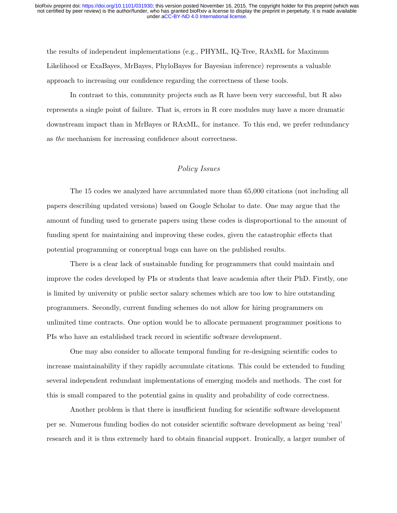the results of independent implementations (e.g., PHYML, IQ-Tree, RAxML for Maximum Likelihood or ExaBayes, MrBayes, PhyloBayes for Bayesian inference) represents a valuable approach to increasing our confidence regarding the correctness of these tools.

In contrast to this, community projects such as R have been very successful, but R also represents a single point of failure. That is, errors in R core modules may have a more dramatic downstream impact than in MrBayes or RAxML, for instance. To this end, we prefer redundancy as the mechanism for increasing confidence about correctness.

### Policy Issues

The 15 codes we analyzed have accumulated more than 65,000 citations (not including all papers describing updated versions) based on Google Scholar to date. One may argue that the amount of funding used to generate papers using these codes is disproportional to the amount of funding spent for maintaining and improving these codes, given the catastrophic effects that potential programming or conceptual bugs can have on the published results.

There is a clear lack of sustainable funding for programmers that could maintain and improve the codes developed by PIs or students that leave academia after their PhD. Firstly, one is limited by university or public sector salary schemes which are too low to hire outstanding programmers. Secondly, current funding schemes do not allow for hiring programmers on unlimited time contracts. One option would be to allocate permanent programmer positions to PIs who have an established track record in scientific software development.

One may also consider to allocate temporal funding for re-designing scientific codes to increase maintainability if they rapidly accumulate citations. This could be extended to funding several independent redundant implementations of emerging models and methods. The cost for this is small compared to the potential gains in quality and probability of code correctness.

Another problem is that there is insufficient funding for scientific software development per se. Numerous funding bodies do not consider scientific software development as being 'real' research and it is thus extremely hard to obtain financial support. Ironically, a larger number of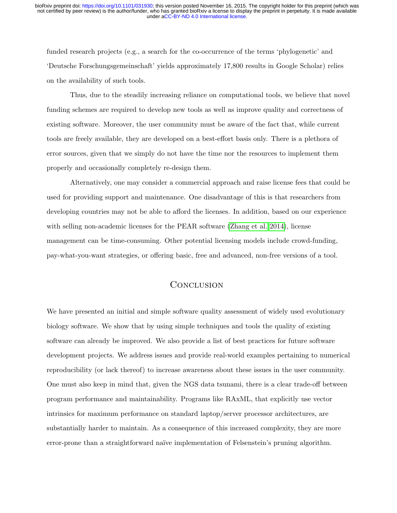funded research projects (e.g., a search for the co-occurrence of the terms 'phylogenetic' and 'Deutsche Forschungsgemeinschaft' yields approximately 17,800 results in Google Scholar) relies on the availability of such tools.

Thus, due to the steadily increasing reliance on computational tools, we believe that novel funding schemes are required to develop new tools as well as improve quality and correctness of existing software. Moreover, the user community must be aware of the fact that, while current tools are freely available, they are developed on a best-effort basis only. There is a plethora of error sources, given that we simply do not have the time nor the resources to implement them properly and occasionally completely re-design them.

Alternatively, one may consider a commercial approach and raise license fees that could be used for providing support and maintenance. One disadvantage of this is that researchers from developing countries may not be able to afford the licenses. In addition, based on our experience with selling non-academic licenses for the PEAR software [\(Zhang et al. 2014\)](#page-20-9), license management can be time-consuming. Other potential licensing models include crowd-funding, pay-what-you-want strategies, or offering basic, free and advanced, non-free versions of a tool.

## **CONCLUSION**

We have presented an initial and simple software quality assessment of widely used evolutionary biology software. We show that by using simple techniques and tools the quality of existing software can already be improved. We also provide a list of best practices for future software development projects. We address issues and provide real-world examples pertaining to numerical reproducibility (or lack thereof) to increase awareness about these issues in the user community. One must also keep in mind that, given the NGS data tsunami, there is a clear trade-off between program performance and maintainability. Programs like RAxML, that explicitly use vector intrinsics for maximum performance on standard laptop/server processor architectures, are substantially harder to maintain. As a consequence of this increased complexity, they are more error-prone than a straightforward naïve implementation of Felsenstein's pruning algorithm.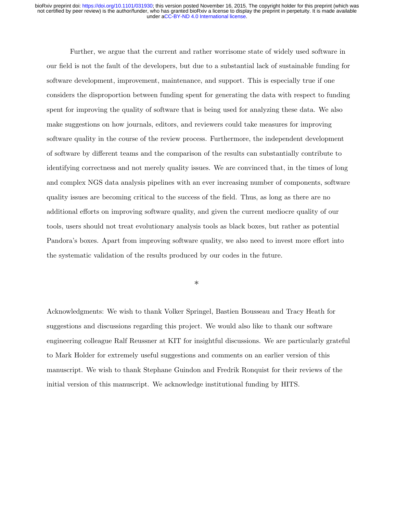Further, we argue that the current and rather worrisome state of widely used software in our field is not the fault of the developers, but due to a substantial lack of sustainable funding for software development, improvement, maintenance, and support. This is especially true if one considers the disproportion between funding spent for generating the data with respect to funding spent for improving the quality of software that is being used for analyzing these data. We also make suggestions on how journals, editors, and reviewers could take measures for improving software quality in the course of the review process. Furthermore, the independent development of software by different teams and the comparison of the results can substantially contribute to identifying correctness and not merely quality issues. We are convinced that, in the times of long and complex NGS data analysis pipelines with an ever increasing number of components, software quality issues are becoming critical to the success of the field. Thus, as long as there are no additional efforts on improving software quality, and given the current mediocre quality of our tools, users should not treat evolutionary analysis tools as black boxes, but rather as potential Pandora's boxes. Apart from improving software quality, we also need to invest more effort into the systematic validation of the results produced by our codes in the future.

\*

Acknowledgments: We wish to thank Volker Springel, Bastien Bousseau and Tracy Heath for suggestions and discussions regarding this project. We would also like to thank our software engineering colleague Ralf Reussner at KIT for insightful discussions. We are particularly grateful to Mark Holder for extremely useful suggestions and comments on an earlier version of this manuscript. We wish to thank Stephane Guindon and Fredrik Ronquist for their reviews of the initial version of this manuscript. We acknowledge institutional funding by HITS.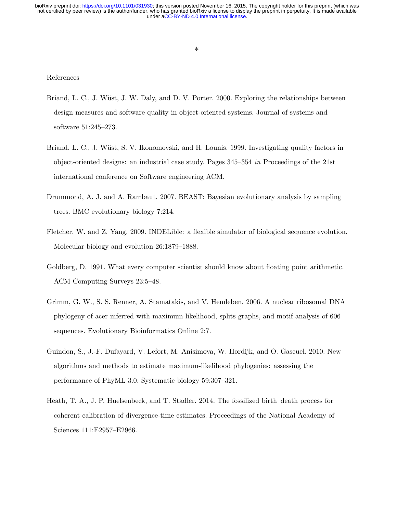# References

- <span id="page-18-1"></span>Briand, L. C., J. Wüst, J. W. Daly, and D. V. Porter. 2000. Exploring the relationships between design measures and software quality in object-oriented systems. Journal of systems and software 51:245–273.
- <span id="page-18-0"></span>Briand, L. C., J. Wüst, S. V. Ikonomovski, and H. Lounis. 1999. Investigating quality factors in object-oriented designs: an industrial case study. Pages 345–354 in Proceedings of the 21st international conference on Software engineering ACM.
- <span id="page-18-3"></span>Drummond, A. J. and A. Rambaut. 2007. BEAST: Bayesian evolutionary analysis by sampling trees. BMC evolutionary biology 7:214.
- <span id="page-18-5"></span>Fletcher, W. and Z. Yang. 2009. INDELible: a flexible simulator of biological sequence evolution. Molecular biology and evolution 26:1879–1888.
- <span id="page-18-6"></span>Goldberg, D. 1991. What every computer scientist should know about floating point arithmetic. ACM Computing Surveys 23:5–48.
- <span id="page-18-7"></span>Grimm, G. W., S. S. Renner, A. Stamatakis, and V. Hemleben. 2006. A nuclear ribosomal DNA phylogeny of acer inferred with maximum likelihood, splits graphs, and motif analysis of 606 sequences. Evolutionary Bioinformatics Online 2:7.
- <span id="page-18-2"></span>Guindon, S., J.-F. Dufayard, V. Lefort, M. Anisimova, W. Hordijk, and O. Gascuel. 2010. New algorithms and methods to estimate maximum-likelihood phylogenies: assessing the performance of PhyML 3.0. Systematic biology 59:307–321.
- <span id="page-18-4"></span>Heath, T. A., J. P. Huelsenbeck, and T. Stadler. 2014. The fossilized birth–death process for coherent calibration of divergence-time estimates. Proceedings of the National Academy of Sciences 111:E2957–E2966.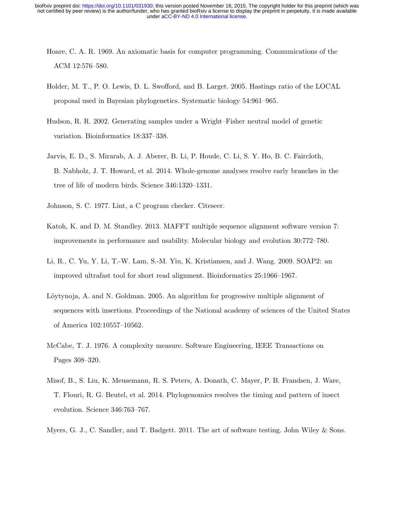- <span id="page-19-6"></span>Hoare, C. A. R. 1969. An axiomatic basis for computer programming. Communications of the ACM 12:576–580.
- <span id="page-19-7"></span>Holder, M. T., P. O. Lewis, D. L. Swofford, and B. Larget. 2005. Hastings ratio of the LOCAL proposal used in Bayesian phylogenetics. Systematic biology 54:961–965.
- <span id="page-19-2"></span>Hudson, R. R. 2002. Generating samples under a Wright–Fisher neutral model of genetic variation. Bioinformatics 18:337–338.
- <span id="page-19-1"></span>Jarvis, E. D., S. Mirarab, A. J. Aberer, B. Li, P. Houde, C. Li, S. Y. Ho, B. C. Faircloth, B. Nabholz, J. T. Howard, et al. 2014. Whole-genome analyses resolve early branches in the tree of life of modern birds. Science 346:1320–1331.
- <span id="page-19-9"></span>Johnson, S. C. 1977. Lint, a C program checker. Citeseer.
- <span id="page-19-3"></span>Katoh, K. and D. M. Standley. 2013. MAFFT multiple sequence alignment software version 7: improvements in performance and usability. Molecular biology and evolution 30:772–780.
- <span id="page-19-5"></span>Li, R., C. Yu, Y. Li, T.-W. Lam, S.-M. Yiu, K. Kristiansen, and J. Wang. 2009. SOAP2: an improved ultrafast tool for short read alignment. Bioinformatics 25:1966–1967.
- <span id="page-19-4"></span>Löytynoja, A. and N. Goldman. 2005. An algorithm for progressive multiple alignment of sequences with insertions. Proceedings of the National academy of sciences of the United States of America 102:10557–10562.
- <span id="page-19-8"></span>McCabe, T. J. 1976. A complexity measure. Software Engineering, IEEE Transactions on Pages 308–320.
- <span id="page-19-0"></span>Misof, B., S. Liu, K. Meusemann, R. S. Peters, A. Donath, C. Mayer, P. B. Frandsen, J. Ware, T. Flouri, R. G. Beutel, et al. 2014. Phylogenomics resolves the timing and pattern of insect evolution. Science 346:763–767.
- <span id="page-19-10"></span>Myers, G. J., C. Sandler, and T. Badgett. 2011. The art of software testing. John Wiley & Sons.